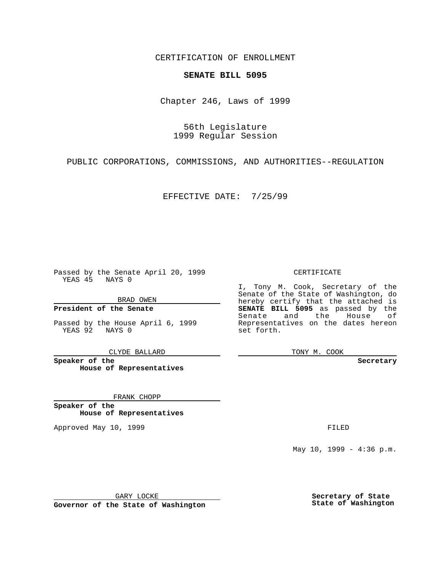CERTIFICATION OF ENROLLMENT

## **SENATE BILL 5095**

Chapter 246, Laws of 1999

56th Legislature 1999 Regular Session

PUBLIC CORPORATIONS, COMMISSIONS, AND AUTHORITIES--REGULATION

EFFECTIVE DATE: 7/25/99

Passed by the Senate April 20, 1999 YEAS 45 NAYS 0

BRAD OWEN

**President of the Senate**

Passed by the House April 6, 1999 YEAS 92 NAYS 0

CLYDE BALLARD

**Speaker of the House of Representatives**

FRANK CHOPP

**Speaker of the House of Representatives**

Approved May 10, 1999 **FILED** 

## CERTIFICATE

I, Tony M. Cook, Secretary of the Senate of the State of Washington, do hereby certify that the attached is **SENATE BILL 5095** as passed by the Senate and the House of Representatives on the dates hereon set forth.

TONY M. COOK

**Secretary**

May 10, 1999 - 4:36 p.m.

GARY LOCKE

**Governor of the State of Washington**

**Secretary of State State of Washington**